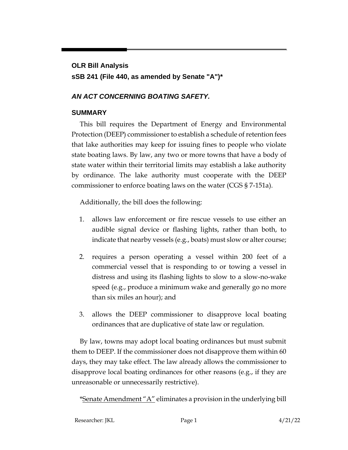## **OLR Bill Analysis sSB 241 (File 440, as amended by Senate "A")\***

## *AN ACT CONCERNING BOATING SAFETY.*

## **SUMMARY**

This bill requires the Department of Energy and Environmental Protection (DEEP) commissioner to establish a schedule of retention fees that lake authorities may keep for issuing fines to people who violate state boating laws. By law, any two or more towns that have a body of state water within their territorial limits may establish a lake authority by ordinance. The lake authority must cooperate with the DEEP commissioner to enforce boating laws on the water (CGS § 7-151a).

Additionally, the bill does the following:

- 1. allows law enforcement or fire rescue vessels to use either an audible signal device or flashing lights, rather than both, to indicate that nearby vessels (e.g., boats) must slow or alter course;
- 2. requires a person operating a vessel within 200 feet of a commercial vessel that is responding to or towing a vessel in distress and using its flashing lights to slow to a slow-no-wake speed (e.g., produce a minimum wake and generally go no more than six miles an hour); and
- 3. allows the DEEP commissioner to disapprove local boating ordinances that are duplicative of state law or regulation.

By law, towns may adopt local boating ordinances but must submit them to DEEP. If the commissioner does not disapprove them within 60 days, they may take effect. The law already allows the commissioner to disapprove local boating ordinances for other reasons (e.g., if they are unreasonable or unnecessarily restrictive).

\*Senate Amendment "A" eliminates a provision in the underlying bill